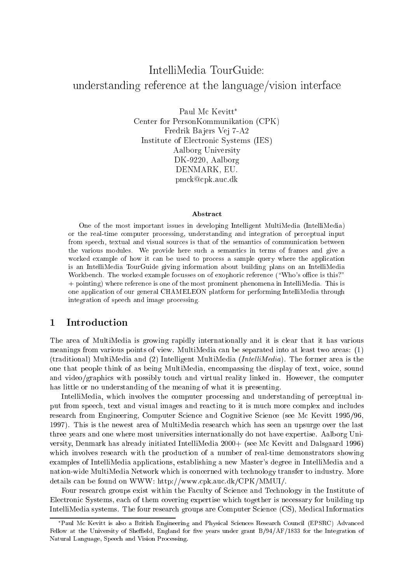# $\mathcal{L}$  reference at the language at the language/vision interface interface interface

Paul Mc Kevitt\* Center for PersonKommunikation (CPK) Fredrik Bajers Vej 7-A2 Institute of Electronic Systems (IES) Aalborg University DK-9220, Aalborg DENMARK, EU. pmck@cpk.auc.dk

### Abstract

One of the most important issues in developing Intelligent MultiMedia (IntelliMedia) or the real-time computer processing, understanding and integration of perceptual input from speech, textual and visual sources is that of the semantics of communication between the various modules. We provide here such a semantics in terms of frames and give a worked example of how it can be used to process a sample query where the application is an IntelliMedia TourGuide giving information about building plans on an IntelliMedia Workbench. The worked example focusses on of exophoric reference ("Who's office is this?" + pointing) where reference is one of the most prominent phenomena in IntelliMedia. This is one application of our general CHAMELEON platform for performing IntelliMedia through integration of speech and image processing.

## 1 Introduction

The area of MultiMedia is growing rapidly internationally and it is clear that it has various meanings from various points of view. MultiMedia can be separated into at least two areas: (1) (traditional) MultiMedia and (2) Intelligent MultiMedia (*IntelliMedia*). The former area is the one that people think of as being MultiMedia, encompassing the display of text, voice, sound and video/graphics with possibly touch and virtual reality linked in. However, the computer has little or no understanding of the meaning of what it is presenting.

IntelliMedia, which involves the computer processing and understanding of perceptual input from speech, text and visual images and reacting to it is much more complex and includes research from Engineering, Computer Science and Cognitive Science (see Mc Kevitt 1995/96, 1997). This is the newest area of MultiMedia research which has seen an upsurge over the last three years and one where most universities internationally do not have expertise. Aalborg University, Denmark has already initiated IntelliMedia 2000+ (see Mc Kevitt and Dalsgaard 1996) which involves research with the production of a number of real-time demonstrators showing examples of IntelliMedia applications, establishing a new Master's degree in IntelliMedia and a nation-wide MultiMedia Network which is concerned with technology transfer to industry. More details can be found on WWW: http://www.cpk.auc.dk/CPK/MMUI/.

Four research groups exist within the Faculty of Science and Technology in the Institute of Electronic Systems, each of them covering expertise which together is necessary for building up IntelliMedia systems. The four research groups are Computer Science (CS), Medical Informatics

Paul Mc Kevitt is also a British Engineering and Physical Sciences Research Council (EPSRC) Advanced Fellow at the University of Sheffield, England for five years under grant B/94/AF/1833 for the Integration of Natural Language, Speech and Vision Processing.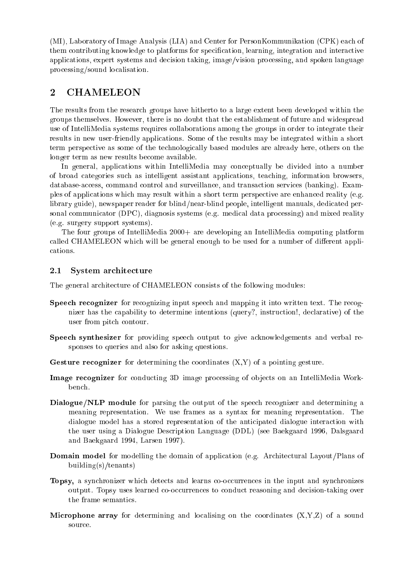(MI), Laboratory of Image Analysis (LIA) and Center for PersonKommunikation (CPK) each of them contributing knowledge to platforms for specication, learning, integration and interactive applications, expert systems and decision taking, image/vision processing, and spoken language processing/sound localisation.

#### $\overline{2}$ **CHAMELEON**

The results from the research groups have hitherto to a large extent been developed within the groups themselves. However, there is no doubt that the establishment of future and widespread use of IntelliMedia systems requires collaborations among the groups in order to integrate their results in new user-friendly applications. Some of the results may be integrated within a short term perspective as some of the technologically based modules are already here, others on the longer term as new results become available.

In general, applications within IntelliMedia may conceptually be divided into a number of broad categories such as intelligent assistant applications, teaching, information browsers, database-access, command control and surveillance, and transaction services (banking). Examples of applications which may result within a short term perspective are enhanced reality (e.g. library guide), newspaper reader for blind/near-blind people, intelligent manuals, dedicated personal communicator (DPC), diagnosis systems (e.g. medical data processing) and mixed reality (e.g. surgery support systems).

The four groups of IntelliMedia 2000+ are developing an IntelliMedia computing platform called CHAMELEON which will be general enough to be used for a number of different applications.

#### 2.1System architecture

The general architecture of CHAMELEON consists of the following modules:

- Speech recognizer for recognizing input speech and mapping it into written text. The recognizer has the capability to determine intentions (query?, instruction!, declarative) of the user from pitch contour.
- Speech synthesizer for providing speech output to give acknowledgements and verbal responses to queries and also for asking questions.
- Gesture recognizer for determining the coordinates (X,Y) of a pointing gesture.
- Image recognizer for conducting  $3$  image processing of observations on an IntelliMedia Work-IntelliGeneration bench.
- Dialogue/NLP module for parsing the output of the speech recognizer and determining a meaning representation. We use frames as a syntax for meaning representation. The dialogue model has a stored representation of the anticipated dialogue interaction with the user using a Dialogue Description Language (DDL) (see Baekgaard 1996, Dalsgaard and Baekgaard 1994, Larsen 1997).
- Domain model for modelling the domain of application (e.g. Architectural Layout/Plans of building(s)/tenants)
- Topsy, a synchronizer which detects and learns co-occurrences in the input and synchronizes output. Topsy uses learned co-occurrences to conduct reasoning and decision-taking over the frame semantics.
- Microphone array for determining and localising on the coordinates (X,Y,Z) of a sound source.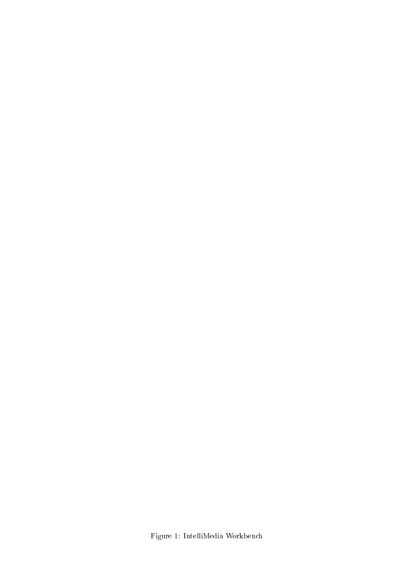Figure 1: IntelliMedia Workbench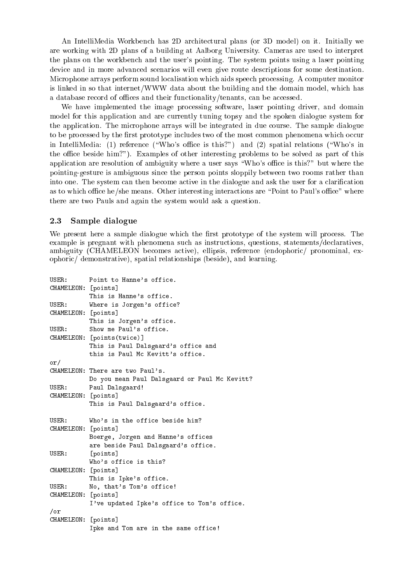An IntelliMedia Workbench has 2D architectural plans (or 3D model) on it. Initially we are working with 2D plans of a building at Aalborg University. Cameras are used to interpret the plans on the workbench and the user's pointing. The system points using a laser pointing device and in more advanced scenarios will even give route descriptions for some destination. Microphone arrays perform sound localisation which aids speech processing. A computer monitor is linked in so that internet/WWW data about the building and the domain model, which has a database record of offices and their functionality/tenants, can be accessed.

We have implemented the image processing software, laser pointing driver, and domain model for this application and are currently tuning topsy and the spoken dialogue system for the application. The microphone arrays will be integrated in due course. The sample dialogue to be processed by the first prototype includes two of the most common phenomena which occur in IntelliMedia: (1) reference ("Who's office is this?") and (2) spatial relations ("Who's in the office beside him?"). Examples of other interesting problems to be solved as part of this application are resolution of ambiguity where a user says "Who's office is this?" but where the pointing-gesture is ambiguous since the person points sloppily between two rooms rather than into one. The system can then become active in the dialogue and ask the user for a clarification as to which office he/she means. Other interesting interactions are "Point to Paul's office" where there are two Pauls and again the system would ask a question.

#### 2.3Sample dialogue

We present here a sample dialogue which the first prototype of the system will process. The example is pregnant with phenomena such as instructions, questions, statements/declaratives, ambiguity (CHAMELEON becomes active), ellipsis, reference (endophoric/ pronominal, exophoric/ demonstrative), spatial relationships (beside), and learning.

```
USER: Point to Hanne's office.
CHAMELEON: [points]
          This is Hanne's office.
USER: Where is Jorgen's office?
CHAMELEON: [points]
          This is Jorgen's office.
USER: Show me Paul's office.
CHAMELEON: [points(twice)]
          This is Paul Dalsgaard's office and
          this is Paul Mc Kevitt's office.
or/
CHAMELEON: There are two Paul's.
          Do you mean Paul Dalsgaard or Paul Mc Kevitt?
IISFRPaul Dalsgaard!
CHAMELEON: [points]
          This is Paul Dalsgaard's office.
USER: Who's in the office beside him?
CHAMELEON: [points]
          Boerge, Jorgen and Hanne's offices
          are beside Paul Dalsgaard's office.
USTR.[points]
          Who's office is this?
CHAMELEON: [points]
          This is Ipke's office.
USER: No, that's Tom's office!
CHAMELEON: [points]
          I've updated Ipke's office to Tom's office.
/or
CHAMELEON: [points]
          Ipke and Tom are in the same office!
```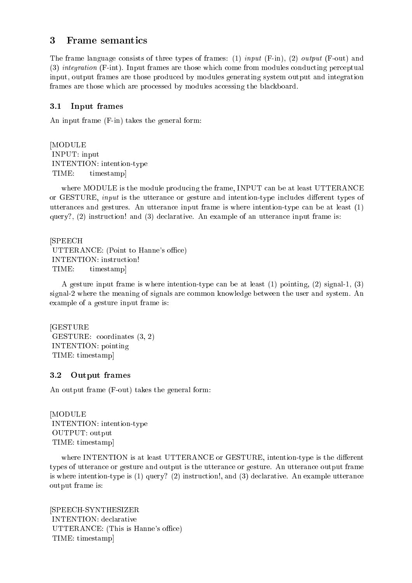#### 3 **Frame** semantics

The frame language consists of three types of frames: (1) input (F-in), (2) output (F-out) and (3) integration (F-int). Input frames are those which come from modules conducting perceptual input, output frames are those produced by modules generating system output and integration frames are those which are processed by modules accessing the blackboard.

#### 3.1Input frames

An input frame (F-in) takes the general form:

[MODULE INPUT: input INTENTION: intention-type TIME: timestampl

where MODULE is the module producing the frame, INPUT can be at least UTTERANCE or GESTURE, *input* is the utterance or gesture and intention-type includes different types of utterances and gestures. An utterance input frame is where intention-type can be at least (1) query?,  $(2)$  instruction! and  $(3)$  declarative. An example of an utterance input frame is:

[SPEECH UTTERANCE: (Point to Hanne's office) INTENTION: instruction! TIME: timestamp]

A gesture input frame is where intention-type can be at least (1) pointing, (2) signal-1, (3) signal-2 where the meaning of signals are common knowledge between the user and system. An example of a gesture input frame is:

[GESTURE GESTURE: coordinates (3, 2) INTENTION: pointing TIME: timestamp]

#### 3.2 Output frames

An output frame (F-out) takes the general form:

[MODULE INTENTION: intention-type OUTPUT: output TIME: timestamp]

where INTENTION is at least UTTERANCE or GESTURE, intention-type is the different types of utterance or gesture and output is the utterance or gesture. An utterance output frame is where intention-type is (1) query? (2) instruction!, and (3) declarative. An example utterance output frame is:

[SPEECH-SYNTHESIZER INTENTION: declarative UTTERANCE: (This is Hanne's office) TIME: timestamp]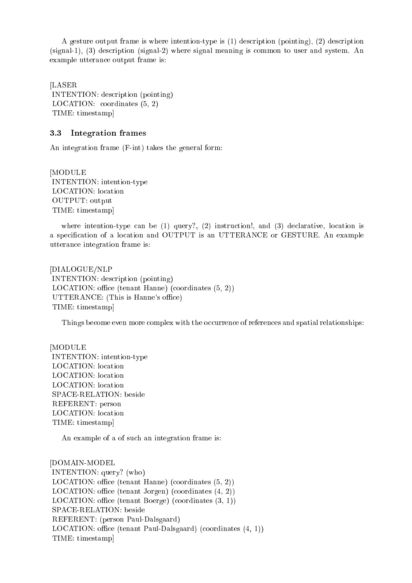A gesture output frame is where intention-type is (1) description (pointing), (2) description (signal-1), (3) description (signal-2) where signal meaning is common to user and system. An example utterance output frame is:

[LASER INTENTION: description (pointing) LOCATION: coordinates (5, 2) TIME: timestamp]

#### 3.3Integration frames

An integration frame (F-int) takes the general form:

[MODULE INTENTION: intention-type LOCATION: location OUTPUT: output TIME: timestamp]

where intention-type can be (1) query?, (2) instruction!, and (3) declarative, location is a specication of a location and OUTPUT is an UTTERANCE or GESTURE. An example utterance integration frame is:

[DIALOGUE/NLP INTENTION: description (pointing) LOCATION: office (tenant Hanne) (coordinates  $(5, 2)$ ) UTTERANCE: (This is Hanne's office) TIME: timestamp]

Things become even more complex with the occurrence of references and spatial relationships:

[MODULE INTENTION: intention-type LOCATION: location LOCATION: location LOCATION: location SPACE-RELATION: beside REFERENT: person LOCATION: location TIME: timestamp]

An example of a of such an integration frame is:

[DOMAIN-MODEL INTENTION: query? (who) LOCATION: office (tenant Hanne) (coordinates  $(5, 2)$ ) LOCATION: office (tenant Jorgen) (coordinates  $(4, 2)$ ) LOCATION: office (tenant Boerge) (coordinates  $(3, 1)$ ) SPACE-RELATION: beside REFERENT: (person Paul-Dalsgaard)  $LOGATION:$  office (tenant Paul-Dalsgaard) (coordinates  $(4, 1)$ ) TIME: timestamp]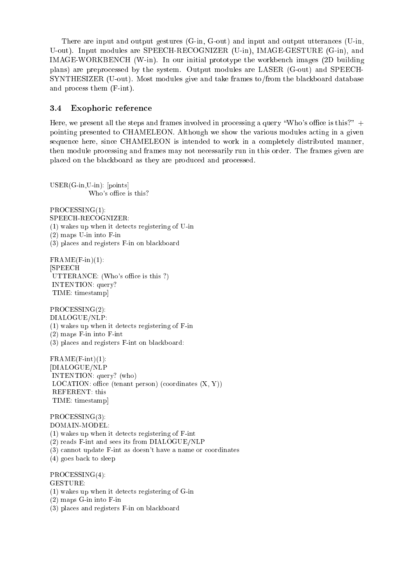There are input and output gestures (G-in, G-out) and input and output utterances (U-in, U-out). Input modules are SPEECH-RECOGNIZER (U-in), IMAGE-GESTURE (G-in), and IMAGE-WORKBENCH (W-in). In our initial prototype the workbench images (2D building plans) are preprocessed by the system. Output modules are LASER (G-out) and SPEECH-SYNTHESIZER (U-out). Most modules give and take frames to/from the blackboard database and process them (F-int).

#### 3.4Exophoric reference

Here, we present all the steps and frames involved in processing a query "Who's office is this?"  $+$ pointing presented to CHAMELEON. Although we show the various modules acting in a given sequence here, since CHAMELEON is intended to work in a completely distributed manner, then module processing and frames may not necessarily run in this order. The frames given are placed on the blackboard as they are produced and processed.

USER(G-in,U-in): [points] Who's office is this?

 $PROCESSING(1)$ : PROCESSING(1): SPEECH-RECOGNIZER: (1) wakes up when it detects registering of U-in (2) maps U-in into F-in (3) places and registers F-in on blackboard

 $FRAME(F-in)(1)$ : [SPEECH  $UTTERANCE: (Who's office is this?)$ INTENTION: query? TIME: timestamp]

PROCESSING(2): DIALOGUE/NLP: (1) wakes up when it detects registering of F-in (2) maps F-in into F-int (3) places and registers F-int on blackboard:

 $FRAME(F-int)(1):$ [DIALOGUE/NLP INTENTION: query? (who) LOCATION: office (tenant person) (coordinates  $(X, Y)$ ) REFERENT: this TIME: timestamp]

PROCESSING(3): DOMAIN-MODEL: (1) wakes up when it detects registering of F-int (2) reads F-int and sees its from DIALOGUE/NLP (3) cannot update F-int as doesn't have a name or coordinates (4) goes back to sleep

PROCESSING(4): GESTURE: (1) wakes up when it detects registering of G-in (2) maps G-in into F-in (3) places and registers F-in on blackboard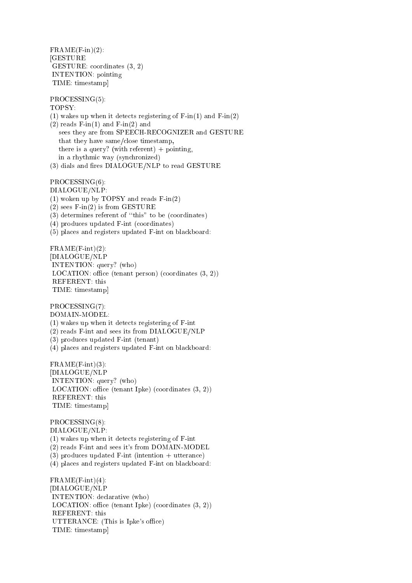$FRAME(F-in)(2)$ : **[GESTURE** GESTURE: coordinates (3, 2) INTENTION: pointing TIME: timestamp]

PROCESSING(5): TOPSY: (1) wakes up when it detects registering of  $F-in(1)$  and  $F-in(2)$  $(2)$  reads F-in $(1)$  and F-in $(2)$  and sees they are from SPEECH-RECOGNIZER and GESTURE that they have same/close timestamp, there is a query? (with referent)  $+$  pointing, in a rhythmic way (synchronized) (3) dials and fires DIALOGUE/NLP to read GESTURE

PROCESSING(6): DIALOGUE/NLP: (1) woken up by TOPSY and reads F-in(2)  $(2)$  sees F-in $(2)$  is from GESTURE  $(3)$  determines referent of "this" to be (coordinates) (4) produces updated F-int (coordinates) (5) places and registers updated F-int on blackboard:

 $FRAME(F-int)(2)$ : [DIALOGUE/NLP INTENTION: query? (who) LOCATION: office (tenant person) (coordinates  $(3, 2)$ ) REFERENT: this TIME: timestamp]

PROCESSING(7):

DOMAIN-MODEL: (1) wakes up when it detects registering of F-int

(2) reads F-int and sees its from DIALOGUE/NLP

(3) produces updated F-int (tenant)

(4) places and registers updated F-int on blackboard:

 $FRAME(F-int)(3)$ : [DIALOGUE/NLP INTENTION: query? (who) LOCATION: office (tenant Ipke) (coordinates  $(3, 2)$ ) REFERENT: this TIME: timestamp]

PROCESSING(8): DIALOGUE/NLP: (1) wakes up when it detects registering of F-int (2) reads F-int and sees it's from DOMAIN-MODEL (3) produces updated F-int (intention + utterance) (4) places and registers updated F-int on blackboard:  $FRAME(F-int)(4):$ [DIALOGUE/NLP INTENTION: declarative (who) LOCATION: office (tenant Ipke) (coordinates  $(3, 2)$ ) REFERENT: this UTTERANCE: (This is Ipke's office) TIME: timestamp]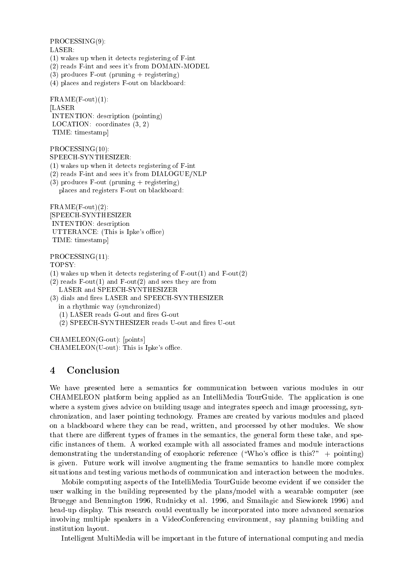PROCESSING(9):

## LASER:

- (1) wakes up when it detects registering of F-int
- (2) reads F-int and sees it's from DOMAIN-MODEL
- $(3)$  produces F-out (pruning + registering)
- (4) places and registers F-out on blackboard:

 $FRAME(F-out)(1)$ : [LASER INTENTION: description (pointing) LOCATION: coordinates (3, 2) TIME: timestamp]

PROCESSING(10):

SPEECH-SYNTHESIZER:

- (1) wakes up when it detects registering of F-int
- (2) reads F-int and sees it's from DIALOGUE/NLP
- $(3)$  produces F-out (pruning + registering) places and registers F-out on blackboard:

 $FRAME(F-out)(2)$ : [SPEECH-SYNTHESIZER INTENTION: description UTTERANCE: (This is Ipke's office) TIME: timestamp]

## PROCESSING(11):

TOPSY:

- (1) wakes up when it detects registering of  $F-out(1)$  and  $F-out(2)$
- $(2)$  reads F-out $(1)$  and F-out $(2)$  and sees they are from LASER and SPEECH-SYNTHESIZER
- (3) dials and fires LASER and SPEECH-SYNTHESIZER in a rhythmic way (synchronized)
	- $(1)$  LASER reads G-out and fires G-out
	- (2) SPEECH-SYNTHESIZER reads U-out and fires U-out

CHAMELEON(G-out): [points]  $CHAMELEON(U-out)$ : This is Ipke's office.

# 4 Conclusion

We have presented here a semantics for communication between various modules in our CHAMELEON platform being applied as an IntelliMedia TourGuide. The application is one where a system gives advice on building usage and integrates speech and image processing, synchronization, and laser pointing technology. Frames are created by various modules and placed on a blackboard where they can be read, written, and processed by other modules. We show that there are different types of frames in the semantics, the general form these take, and specic instances of them. A worked example with all associated frames and module interactions demonstrating the understanding of exophoric reference ("Who's office is this?" + pointing) is given. Future work will involve augmenting the frame semantics to handle more complex situations and testing various methods of communication and interaction between the modules.

Mobile computing aspects of the IntelliMedia TourGuide become evident if we consider the user walking in the building represented by the plans/model with a wearable computer (see Bruegge and Bennington 1996, Rudnicky et al. 1996, and Smailagic and Siewiorek 1996) and head-up display. This research could eventually be incorporated into more advanced scenarios involving multiple speakers in a VideoConferencing environment, say planning building and institution layout.

Intelligent MultiMedia will be important in the future of international computing and media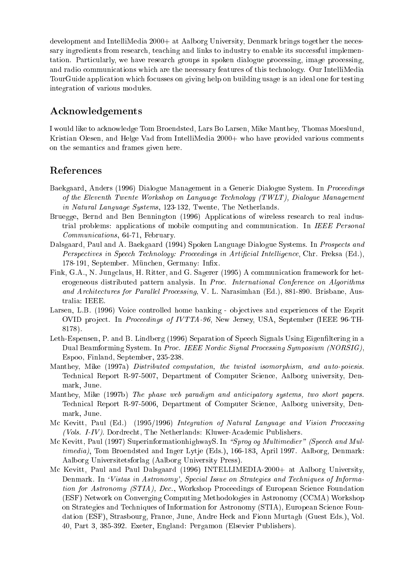development and IntelliMedia 2000+ at Aalborg University, Denmark brings together the necessary ingredients from research, teaching and links to industry to enable its successful implementation. Particularly, we have research groups in spoken dialogue processing, image processing, and radio communications which are the necessary features of this technology. Our IntelliMedia TourGuide application which focusses on giving help on building usage is an ideal one for testing integration of various modules.

## Acknowledgements

I would like to acknowledge Tom Broendsted, Lars Bo Larsen, Mike Manthey, Thomas Moeslund, Kristian Olesen, and Helge Vad from IntelliMedia 2000+ who have provided various comments on the semantics and frames given here.

## References

- Baekgaard, Anders (1996) Dialogue Management in a Generic Dialogue System. In Proceedings of the Eleventh Twente Workshop on Language Technology (TWLT), Dialogue Management in Natural Language Systems, 123-132, Twente, The Netherlands.
- Bruegge, Bernd and Ben Bennington (1996) Applications of wireless research to real industrial problems: applications of mobile computing and communication. In IEEE Personal Communications, 64-71, February.
- Dalsgaard, Paul and A. Baekgaard (1994) Spoken Language Dialogue Systems. In Prospects and Perspectives in Speech Technology: Proceedings in Artificial Intelligence, Chr. Freksa (Ed.), 178-191, September. München, Germany: Infix.
- Fink, G.A., N. Jungclaus, H. Ritter, and G. Sagerer (1995) A communication framework for heterogeneous distributed pattern analysis. In Proc. International Conference on Algorithms and Architectures for Parallel Processing, V. L. Narasimhan (Ed.), 881-890. Brisbane, Australia: IEEE.
- Larsen, L.B. (1996) Voice controlled home banking objectives and experiences of the Esprit OVID project. In Proceedings of IVTTA-96, New Jersey, USA, September (IEEE 96-TH-8178).
- Leth-Espensen, P. and B. Lindberg (1996) Separation of Speech Signals Using Eigenltering in a Dual Beamforming System. In Proc. IEEE Nordic Signal Processing Symposium (NORSIG), Espoo, Finland, September, 235-238.
- Manthey, Mike (1997a) Distributed computation, the twisted isomorphism, and auto-poiesis. Technical Report R-97-5007, Department of Computer Science, Aalborg university, Denmark, June.
- Manthey, Mike (1997b) The phase web paradigm and anticipatory systems, two short papers. Technical Report R-97-5006, Department of Computer Science, Aalborg university, Denmark, June.
- Mc Kevitt, Paul (Ed.) (1995/1996) Integration of Natural Language and Vision Processing (Vols. I-IV). Dordrecht, The Netherlands: Kluwer-Academic Publishers.
- Mc Kevitt, Paul (1997) SuperinformationhighwayS. In "Sprog og Multimedier" (Speech and Multimedia), Tom Broendsted and Inger Lytje (Eds.), 166-183, April 1997. Aalborg, Denmark: Aalborg Universitetsforlag (Aalborg University Press).
- Mc Kevitt, Paul and Paul Dalsgaard (1996) INTELLIMEDIA-2000+ at Aalborg University, Denmark. In 'Vistas in Astronomy', Special Issue on Strategies and Techniques of Information for Astronomy (STIA), Dec., Workshop Proceedings of European Science Foundation (ESF) Network on Converging Computing Methodologies in Astronomy (CCMA) Workshop on Strategies and Techniques of Information for Astronomy (STIA), European Science Foundation (ESF), Strasbourg, France, June, Andre Heck and Fionn Murtagh (Guest Eds.), Vol. 40, Part 3, 385-392. Exeter, England: Pergamon (Elsevier Publishers).